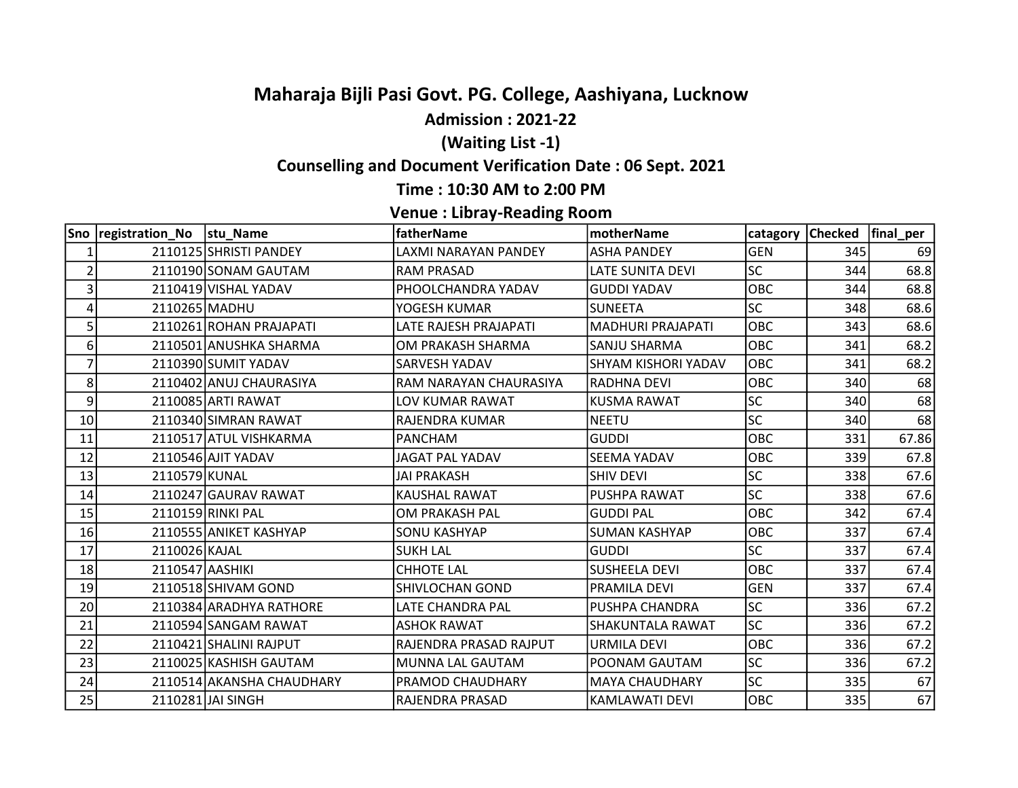# Maharaja Bijli Pasi Govt. PG. College, Aashiyana, Lucknow

### Admission : 2021-22

## (Waiting List -1)

## Counselling and Document Verification Date : 06 Sept. 2021

#### Time : 10:30 AM to 2:00 PM

#### Venue : Libray-Reading Room

|                | Sno registration_No  stu_Name |                           | fatherName                   | <b>motherName</b>       |            | catagory Checked   final_per |       |
|----------------|-------------------------------|---------------------------|------------------------------|-------------------------|------------|------------------------------|-------|
| 1              |                               | 2110125 SHRISTI PANDEY    | <b>LAXMI NARAYAN PANDEY</b>  | <b>ASHA PANDEY</b>      | <b>GEN</b> | 345                          | 69    |
| $\overline{2}$ |                               | 2110190 SONAM GAUTAM      | <b>RAM PRASAD</b>            | <b>LATE SUNITA DEVI</b> | <b>SC</b>  | 344                          | 68.8  |
| 3              |                               | 2110419 VISHAL YADAV      | PHOOLCHANDRA YADAV           | <b>GUDDI YADAV</b>      | OBC        | 344                          | 68.8  |
| 4              | 2110265 MADHU                 |                           | YOGESH KUMAR                 | <b>SUNEETA</b>          | <b>SC</b>  | 348                          | 68.6  |
| 5              |                               | 2110261 ROHAN PRAJAPATI   | <b>LATE RAJESH PRAJAPATI</b> | MADHURI PRAJAPATI       | OBC        | 343                          | 68.6  |
| 6              |                               | 2110501 ANUSHKA SHARMA    | OM PRAKASH SHARMA            | SANJU SHARMA            | <b>OBC</b> | 341                          | 68.2  |
| 7              |                               | 2110390 SUMIT YADAV       | SARVESH YADAV                | SHYAM KISHORI YADAV     | OBC        | 341                          | 68.2  |
| 8              |                               | 2110402 ANUJ CHAURASIYA   | RAM NARAYAN CHAURASIYA       | RADHNA DEVI             | OBC        | 340                          | 68    |
| 9              |                               | 2110085 ARTI RAWAT        | LOV KUMAR RAWAT              | <b>KUSMA RAWAT</b>      | <b>SC</b>  | 340                          | 68    |
| 10             |                               | 2110340 SIMRAN RAWAT      | RAJENDRA KUMAR               | <b>NEETU</b>            | <b>SC</b>  | 340                          | 68    |
| 11             |                               | 2110517 ATUL VISHKARMA    | <b>PANCHAM</b>               | <b>GUDDI</b>            | OBC        | 331                          | 67.86 |
| 12             |                               | 2110546 AJIT YADAV        | <b>JAGAT PAL YADAV</b>       | <b>SEEMA YADAV</b>      | OBC        | 339                          | 67.8  |
| 13             | 2110579 KUNAL                 |                           | <b>JAI PRAKASH</b>           | <b>SHIV DEVI</b>        | <b>SC</b>  | 338                          | 67.6  |
| 14             |                               | 2110247 GAURAV RAWAT      | <b>KAUSHAL RAWAT</b>         | PUSHPA RAWAT            | <b>SC</b>  | 338                          | 67.6  |
| 15             |                               | 2110159 RINKI PAL         | OM PRAKASH PAL               | <b>GUDDI PAL</b>        | OBC        | 342                          | 67.4  |
| 16             |                               | 2110555 ANIKET KASHYAP    | <b>SONU KASHYAP</b>          | <b>SUMAN KASHYAP</b>    | OBC        | 337                          | 67.4  |
| 17             | 2110026 KAJAL                 |                           | <b>SUKH LAL</b>              | <b>GUDDI</b>            | <b>SC</b>  | 337                          | 67.4  |
| 18             | 2110547 AASHIKI               |                           | <b>CHHOTE LAL</b>            | <b>SUSHEELA DEVI</b>    | OBC        | 337                          | 67.4  |
| 19             |                               | 2110518 SHIVAM GOND       | SHIVLOCHAN GOND              | PRAMILA DEVI            | <b>GEN</b> | 337                          | 67.4  |
| 20             |                               | 2110384 ARADHYA RATHORE   | LATE CHANDRA PAL             | PUSHPA CHANDRA          | <b>SC</b>  | 336                          | 67.2  |
| 21             |                               | 2110594 SANGAM RAWAT      | <b>ASHOK RAWAT</b>           | SHAKUNTALA RAWAT        | lsc        | 336                          | 67.2  |
| 22             |                               | 2110421 SHALINI RAJPUT    | RAJENDRA PRASAD RAJPUT       | URMILA DEVI             | OBC        | 336                          | 67.2  |
| 23             |                               | 2110025 KASHISH GAUTAM    | MUNNA LAL GAUTAM             | POONAM GAUTAM           | <b>SC</b>  | 336                          | 67.2  |
| 24             |                               | 2110514 AKANSHA CHAUDHARY | PRAMOD CHAUDHARY             | <b>MAYA CHAUDHARY</b>   | <b>SC</b>  | 335                          | 67    |
| 25             |                               | 2110281 JAI SINGH         | RAJENDRA PRASAD              | KAMLAWATI DEVI          | OBC        | 335                          | 67    |